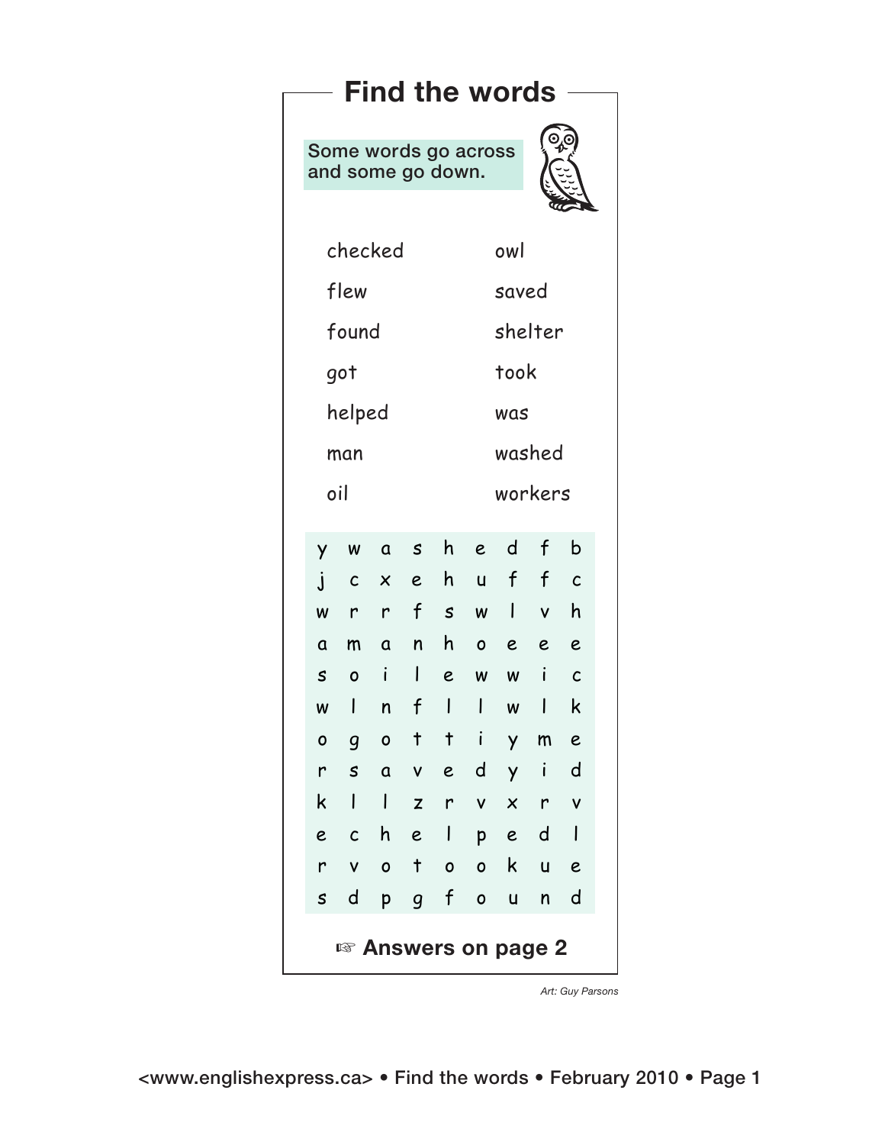| <b>Find the words</b>           |                           |                                                                                                                            |                           |              |                                                                         |                         |                           |                     |              |  |
|---------------------------------|---------------------------|----------------------------------------------------------------------------------------------------------------------------|---------------------------|--------------|-------------------------------------------------------------------------|-------------------------|---------------------------|---------------------|--------------|--|
|                                 |                           |                                                                                                                            |                           |              | $\mathcal{O}_{\mathbf{p}}$<br>Some words go across<br>and some go down. |                         |                           |                     |              |  |
|                                 |                           |                                                                                                                            |                           |              |                                                                         |                         |                           |                     |              |  |
|                                 |                           | checked                                                                                                                    |                           |              | owl                                                                     |                         |                           |                     |              |  |
|                                 | flew                      |                                                                                                                            |                           |              |                                                                         | saved                   |                           |                     |              |  |
|                                 | found                     |                                                                                                                            |                           |              |                                                                         | shelter                 |                           |                     |              |  |
|                                 | got                       |                                                                                                                            |                           |              |                                                                         | took                    |                           |                     |              |  |
|                                 | helped                    |                                                                                                                            |                           |              |                                                                         | was                     |                           |                     |              |  |
|                                 | man                       |                                                                                                                            |                           |              |                                                                         | washed                  |                           |                     |              |  |
|                                 | oil                       |                                                                                                                            |                           |              |                                                                         | workers                 |                           |                     |              |  |
|                                 |                           |                                                                                                                            |                           |              |                                                                         |                         |                           |                     |              |  |
|                                 | Y<br>$\mathbf{j}$         | $\mathsf{W}% _{T}=\mathsf{W}_{T}\!\left( a,b\right) ,\ \mathsf{W}_{T}=\mathsf{W}_{T}\!\left( a,b\right) ,$<br>$\mathsf{C}$ | $\boldsymbol{\mathsf{x}}$ |              |                                                                         | ashed f<br>ehuffc       |                           |                     | $\mathsf b$  |  |
|                                 | $\pmb{\mathsf{W}}$        |                                                                                                                            |                           |              | r r f s                                                                 |                         | $w$                       | $\mathsf{V}$        | h            |  |
|                                 | $\mathbf a$               | m                                                                                                                          |                           |              |                                                                         | anhoee                  |                           |                     | $\epsilon$   |  |
|                                 | $\boldsymbol{\mathsf{S}}$ | $\mathbf{o}$                                                                                                               | $\mathbf{i}$              | $\mathbf{L}$ | $\epsilon$                                                              | $\pmb{\mathsf{W}}$      | $\boldsymbol{\mathsf{W}}$ | i                   | $\mathsf{C}$ |  |
|                                 | $\pmb{\mathsf{W}}$        | $\mathbf{I}$                                                                                                               | $\mathsf{n}$              | $\mathbf f$  |                                                                         |                         | $\pmb{\mathsf{W}}$        |                     | $\mathsf k$  |  |
|                                 | $\mathbf{o}$              | $\mathsf{g}$<br>r s a v e d y                                                                                              | $\circ$                   | $\mathbf{t}$ | $+ i$                                                                   |                         | $\mathsf{y}$              | m<br>$\blacksquare$ | e<br>d       |  |
|                                 | $k$                       |                                                                                                                            |                           |              |                                                                         | $ z $ $\vee$ $x$        |                           | $\mathsf{r}$        | $\mathsf{V}$ |  |
|                                 | $\epsilon$                | $\mathcal{C}$                                                                                                              |                           |              |                                                                         | helped                  |                           |                     |              |  |
|                                 | $\mathsf{r}$              | $\mathsf{V}$                                                                                                               |                           | $0$ t        |                                                                         | $0\quad 0$              | $\mathsf{k}$              | $u$ e               |              |  |
|                                 |                           | s d                                                                                                                        | $p_{\parallel}$           |              | g f                                                                     | $\overline{\mathbf{0}}$ | $\mathbf{u}$              | n d                 |              |  |
| <sup>18</sup> Answers on page 2 |                           |                                                                                                                            |                           |              |                                                                         |                         |                           |                     |              |  |

*Art: Guy Parsons*